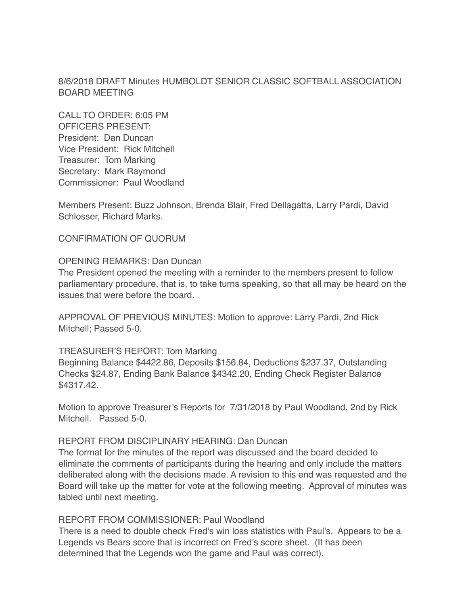8/6/2018 DRAFT Minutes HUMBOLDT SENIOR CLASSIC SOFTBALL ASSOCIATION BOARD MEETING

CALL TO ORDER: 6:05 PM OFFICERS PRESENT: President: Dan Duncan Vice President: Rick Mitchell Treasurer: Tom Marking Secretary: Mark Raymond Commissioner: Paul Woodland

Members Present: Buzz Johnson, Brenda Blair, Fred Dellagatta, Larry Pardi, David Schlosser, Richard Marks.

CONFIRMATION OF QUORUM

### OPENING REMARKS: Dan Duncan

The President opened the meeting with a reminder to the members present to follow parliamentary procedure, that is, to take turns speaking, so that all may be heard on the issues that were before the board.

APPROVAL OF PREVIOUS MINUTES: Motion to approve: Larry Pardi, 2nd Rick Mitchell; Passed 5-0.

#### TREASURER'S REPORT: Tom Marking

Beginning Balance \$4422.86, Deposits \$156.84, Deductions \$237.37, Outstanding Checks \$24.87, Ending Bank Balance \$4342.20, Ending Check Register Balance \$4317.42.

Motion to approve Treasurer's Reports for 7/31/2018 by Paul Woodland, 2nd by Rick Mitchell. Passed 5-0.

### REPORT FROM DISCIPLINARY HEARING: Dan Duncan

The format for the minutes of the report was discussed and the board decided to eliminate the comments of participants during the hearing and only include the matters deliberated along with the decisions made. A revision to this end was requested and the Board will take up the matter for vote at the following meeting. Approval of minutes was tabled until next meeting.

#### REPORT FROM COMMISSIONER: Paul Woodland

There is a need to double check Fred's win loss statistics with Paul's. Appears to be a Legends vs Bears score that is incorrect on Fred's score sheet. (It has been determined that the Legends won the game and Paul was correct).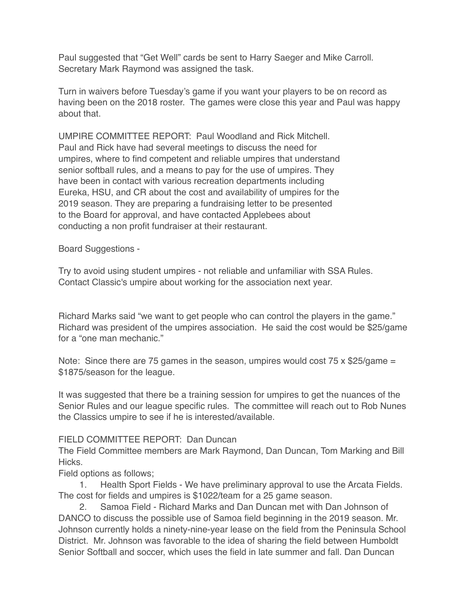Paul suggested that "Get Well" cards be sent to Harry Saeger and Mike Carroll. Secretary Mark Raymond was assigned the task.

Turn in waivers before Tuesday's game if you want your players to be on record as having been on the 2018 roster. The games were close this year and Paul was happy about that.

UMPIRE COMMITTEE REPORT: Paul Woodland and Rick Mitchell. Paul and Rick have had several meetings to discuss the need for umpires, where to find competent and reliable umpires that understand senior softball rules, and a means to pay for the use of umpires. They have been in contact with various recreation departments including Eureka, HSU, and CR about the cost and availability of umpires for the 2019 season. They are preparing a fundraising letter to be presented to the Board for approval, and have contacted Applebees about conducting a non profit fundraiser at their restaurant.

Board Suggestions -

Try to avoid using student umpires - not reliable and unfamiliar with SSA Rules. Contact Classic's umpire about working for the association next year.

Richard Marks said "we want to get people who can control the players in the game." Richard was president of the umpires association. He said the cost would be \$25/game for a "one man mechanic."

Note: Since there are 75 games in the season, umpires would cost 75 x \$25/game = \$1875/season for the league.

It was suggested that there be a training session for umpires to get the nuances of the Senior Rules and our league specific rules. The committee will reach out to Rob Nunes the Classics umpire to see if he is interested/available.

# FIELD COMMITTEE REPORT: Dan Duncan

The Field Committee members are Mark Raymond, Dan Duncan, Tom Marking and Bill Hicks.

Field options as follows;

1. Health Sport Fields - We have preliminary approval to use the Arcata Fields. The cost for fields and umpires is \$1022/team for a 25 game season.

2. Samoa Field - Richard Marks and Dan Duncan met with Dan Johnson of DANCO to discuss the possible use of Samoa field beginning in the 2019 season. Mr. Johnson currently holds a ninety-nine-year lease on the field from the Peninsula School District. Mr. Johnson was favorable to the idea of sharing the field between Humboldt Senior Softball and soccer, which uses the field in late summer and fall. Dan Duncan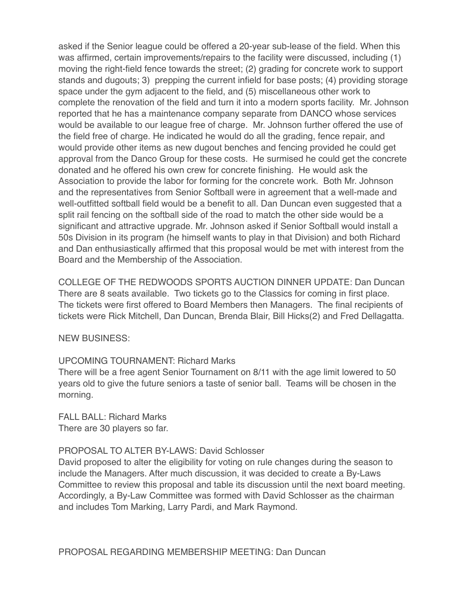asked if the Senior league could be offered a 20-year sub-lease of the field. When this was affirmed, certain improvements/repairs to the facility were discussed, including (1) moving the right-field fence towards the street; (2) grading for concrete work to support stands and dugouts; 3) prepping the current infield for base posts; (4) providing storage space under the gym adjacent to the field, and (5) miscellaneous other work to complete the renovation of the field and turn it into a modern sports facility. Mr. Johnson reported that he has a maintenance company separate from DANCO whose services would be available to our league free of charge. Mr. Johnson further offered the use of the field free of charge. He indicated he would do all the grading, fence repair, and would provide other items as new dugout benches and fencing provided he could get approval from the Danco Group for these costs. He surmised he could get the concrete donated and he offered his own crew for concrete finishing. He would ask the Association to provide the labor for forming for the concrete work. Both Mr. Johnson and the representatives from Senior Softball were in agreement that a well-made and well-outfitted softball field would be a benefit to all. Dan Duncan even suggested that a split rail fencing on the softball side of the road to match the other side would be a significant and attractive upgrade. Mr. Johnson asked if Senior Softball would install a 50s Division in its program (he himself wants to play in that Division) and both Richard and Dan enthusiastically affirmed that this proposal would be met with interest from the Board and the Membership of the Association.

COLLEGE OF THE REDWOODS SPORTS AUCTION DINNER UPDATE: Dan Duncan There are 8 seats available. Two tickets go to the Classics for coming in first place. The tickets were first offered to Board Members then Managers. The final recipients of tickets were Rick Mitchell, Dan Duncan, Brenda Blair, Bill Hicks(2) and Fred Dellagatta.

NEW BUSINESS:

# UPCOMING TOURNAMENT: Richard Marks

There will be a free agent Senior Tournament on 8/11 with the age limit lowered to 50 years old to give the future seniors a taste of senior ball. Teams will be chosen in the morning.

FALL BALL: Richard Marks There are 30 players so far.

### PROPOSAL TO ALTER BY-LAWS: David Schlosser

David proposed to alter the eligibility for voting on rule changes during the season to include the Managers. After much discussion, it was decided to create a By-Laws Committee to review this proposal and table its discussion until the next board meeting. Accordingly, a By-Law Committee was formed with David Schlosser as the chairman and includes Tom Marking, Larry Pardi, and Mark Raymond.